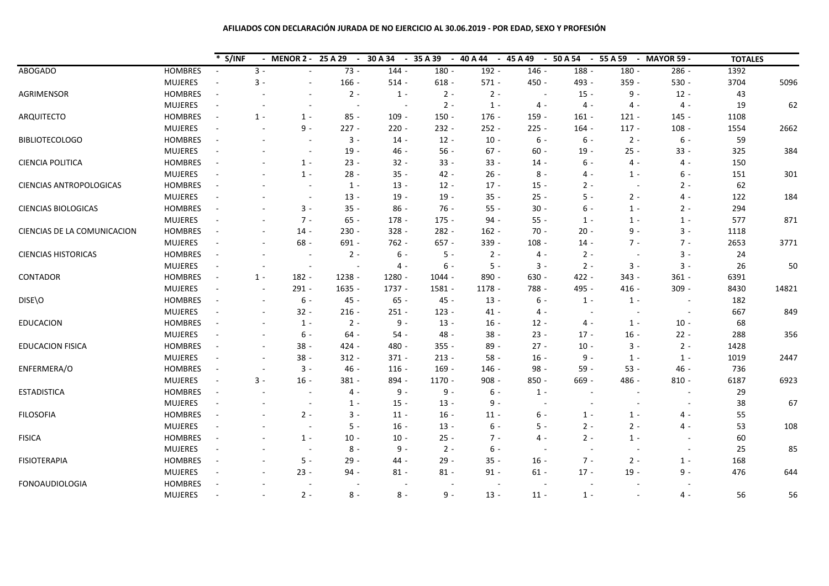# **AFILIADOS CON DECLARACIÓN JURADA DE NO EJERCICIO AL 30.06.2019 - POR EDAD, SEXO Y PROFESIÓN**

|                             |                | S/INF                    |                          |         | - MENOR 2 - 25 A 29<br>$\sim$ | 30 A 34<br>$\sim$        | 35 A 39<br>$\sim$ | 40 A 44<br>$\overline{\phantom{a}}$ | 45 A 49<br>$\overline{\phantom{a}}$ | 50 A 54<br>$\sim$        | 55 A 59 | - MAYOR 59 -             | <b>TOTALES</b> |       |
|-----------------------------|----------------|--------------------------|--------------------------|---------|-------------------------------|--------------------------|-------------------|-------------------------------------|-------------------------------------|--------------------------|---------|--------------------------|----------------|-------|
| <b>ABOGADO</b>              | <b>HOMBRES</b> | $\blacksquare$           | $3 -$                    |         | $73 -$                        | $144 -$                  | $180 -$           | $192 -$                             | 146 -                               | 188 -                    | $180 -$ | $286 -$                  | 1392           |       |
|                             | <b>MUJERES</b> |                          | $3 -$                    |         | $166 -$                       | $514 -$                  | $618 -$           | $571 -$                             | $450 -$                             | 493 -                    | $359 -$ | $530 -$                  | 3704           | 5096  |
| AGRIMENSOR                  | <b>HOMBRES</b> | $\overline{\phantom{a}}$ |                          |         | $2 -$                         | $1 -$                    | $2 -$             | $2 -$                               |                                     | $15 -$                   | $9 -$   | $12 -$                   | 43             |       |
|                             | <b>MUJERES</b> | $\sim$                   | $\overline{\phantom{a}}$ |         | $\overline{a}$                | $\sim$                   | $2 -$             | $1 -$                               | $4 -$                               | $4 -$                    | $4 -$   | $4 -$                    | 19             | 62    |
| ARQUITECTO                  | <b>HOMBRES</b> | $\blacksquare$           | $1 -$                    | $1 -$   | $85 -$                        | $109 -$                  | $150 -$           | $176 -$                             | $159 -$                             | $161 -$                  | $121 -$ | $145 -$                  | 1108           |       |
|                             | <b>MUJERES</b> | $\blacksquare$           | $\overline{\phantom{a}}$ | $9 -$   | $227 -$                       | $220 -$                  | $232 -$           | $252 -$                             | $225 -$                             | $164 -$                  | $117 -$ | $108 -$                  | 1554           | 2662  |
| <b>BIBLIOTECOLOGO</b>       | <b>HOMBRES</b> | $\overline{\phantom{a}}$ | $\sim$                   |         | $3 -$                         | $14 -$                   | $12 -$            | $10 -$                              | $6 -$                               | $6 -$                    | $2 -$   | $6 -$                    | 59             |       |
|                             | <b>MUJERES</b> | $\overline{\phantom{a}}$ |                          |         | $19 -$                        | 46 -                     | $56 -$            | $67 -$                              | $60 -$                              | $19 -$                   | $25 -$  | $33 -$                   | 325            | 384   |
| <b>CIENCIA POLITICA</b>     | <b>HOMBRES</b> | $\sim$                   |                          | $1 -$   | $23 -$                        | $32 -$                   | $33 -$            | $33 -$                              | $14 -$                              | 6 -                      | $4 -$   | $4 -$                    | 150            |       |
|                             | <b>MUJERES</b> | $\overline{\phantom{a}}$ | $\overline{\phantom{a}}$ | $1 -$   | $28 -$                        | $35 -$                   | $42 -$            | $26 -$                              | $8 -$                               | 4 -                      | $1 -$   | $6 -$                    | 151            | 301   |
| CIENCIAS ANTROPOLOGICAS     | <b>HOMBRES</b> | $\sim$                   |                          |         | $1 -$                         | $13 -$                   | $12 -$            | $17 -$                              | $15 -$                              | $2 -$                    |         | $2 -$                    | 62             |       |
|                             | <b>MUJERES</b> |                          |                          |         | $13 -$                        | $19 -$                   | $19 -$            | $35 -$                              | $25 -$                              | $5 -$                    | $2 -$   | 4 -                      | 122            | 184   |
| <b>CIENCIAS BIOLOGICAS</b>  | <b>HOMBRES</b> |                          |                          | $3 -$   | $35 -$                        | $86 -$                   | $76 -$            | $55 -$                              | $30 -$                              | $6 -$                    | $1 -$   | $2 -$                    | 294            |       |
|                             | <b>MUJERES</b> | $\overline{\phantom{a}}$ | $\sim$                   | $7 -$   | $65 -$                        | $178 -$                  | $175 -$           | $94 -$                              | $55 -$                              | $1 -$                    | $1 -$   | $1 -$                    | 577            | 871   |
| CIENCIAS DE LA COMUNICACION | <b>HOMBRES</b> | $\overline{\phantom{a}}$ | $\sim$                   | $14 -$  | $230 -$                       | $328 -$                  | 282 -             | $162 -$                             | $70 -$                              | $20 -$                   | $9 -$   | $3 -$                    | 1118           |       |
|                             | <b>MUJERES</b> | $\omega$                 | $\sim$                   | $68 -$  | $691 -$                       | $762 -$                  | $657 -$           | 339 -                               | $108 -$                             | $14 -$                   | $7 -$   | $7 -$                    | 2653           | 3771  |
| <b>CIENCIAS HISTORICAS</b>  | <b>HOMBRES</b> | $\overline{\phantom{a}}$ | $\overline{\phantom{a}}$ |         | $2 -$                         | $6 -$                    | $5 -$             | $2 -$                               | 4 -                                 | $2 -$                    |         | $3 -$                    | 24             |       |
|                             | <b>MUJERES</b> | ÷,                       | $\sim$                   | $\sim$  |                               | 4 -                      | $6 -$             | $5 -$                               | $3 -$                               | $2 -$                    | $3 -$   | $3 -$                    | 26             | 50    |
| CONTADOR                    | <b>HOMBRES</b> | $\blacksquare$           | $1 -$                    | $182 -$ | 1238 -                        | $1280 -$                 | 1044 -            | 890 -                               | $630 -$                             | $422 -$                  | $343 -$ | $361 -$                  | 6391           |       |
|                             | <b>MUJERES</b> | $\overline{\phantom{a}}$ | $\sim$                   | $291 -$ | 1635 -                        | 1737 -                   | 1581 -            | $1178 -$                            | 788 -                               | 495 -                    | $416 -$ | $309 -$                  | 8430           | 14821 |
| DISE\O                      | <b>HOMBRES</b> | $\sim$                   | $\sim$                   | $6 -$   | $45 -$                        | $65 -$                   | $45 -$            | $13 -$                              | $6 -$                               | $1 -$                    | $1 -$   | $\overline{\phantom{a}}$ | 182            |       |
|                             | <b>MUJERES</b> |                          |                          | $32 -$  | $216 -$                       | $251 -$                  | $123 -$           | $41 -$                              | 4 -                                 | $\overline{\phantom{a}}$ |         |                          | 667            | 849   |
| <b>EDUCACION</b>            | <b>HOMBRES</b> | ÷,                       |                          | $1 -$   | $2 -$                         | $9 -$                    | $13 -$            | $16 -$                              | $12 -$                              | 4 -                      | $1 -$   | $10 -$                   | 68             |       |
|                             | <b>MUJERES</b> | $\overline{\phantom{a}}$ |                          | $6 -$   | $64 -$                        | $54 -$                   | 48 -              | $38 -$                              | $23 -$                              | $17 -$                   | $16 -$  | $22 -$                   | 288            | 356   |
| EDUCACION FISICA            | <b>HOMBRES</b> | $\overline{\phantom{a}}$ | $\sim$                   | $38 -$  | $424 -$                       | 480 -                    | $355 -$           | $89 -$                              | $27 -$                              | $10 -$                   | $3 -$   | $2 -$                    | 1428           |       |
|                             | <b>MUJERES</b> | $\omega$                 | $\sim$                   | $38 -$  | $312 -$                       | $371 -$                  | $213 -$           | $58 -$                              | $16 -$                              | $9 -$                    | $1 -$   | $1 -$                    | 1019           | 2447  |
| ENFERMERA/O                 | <b>HOMBRES</b> | $\overline{\phantom{a}}$ | $\overline{\phantom{a}}$ | $3 -$   | $46 -$                        | $116 -$                  | $169 -$           | $146 -$                             | $98 -$                              | $59 -$                   | $53 -$  | 46 -                     | 736            |       |
|                             | <b>MUJERES</b> | $\sim$                   | $3 -$                    | $16 -$  | $381 -$                       | 894 -                    | $1170 -$          | $908 -$                             | $850 -$                             | $669 -$                  | 486 -   | $810 -$                  | 6187           | 6923  |
| <b>ESTADISTICA</b>          | <b>HOMBRES</b> | $\overline{\phantom{a}}$ |                          |         | 4 -                           | $9 -$                    | $9 -$             | $6 -$                               | $1 -$                               |                          |         |                          | 29             |       |
|                             | <b>MUJERES</b> | ÷,                       |                          |         | $1 -$                         | $15 -$                   | $13 -$            | $9 -$                               | ÷.                                  | $\overline{\phantom{a}}$ |         | $\overline{a}$           | 38             | 67    |
| <b>FILOSOFIA</b>            | <b>HOMBRES</b> | $\overline{\phantom{a}}$ |                          | $2 -$   | $3 -$                         | $11 -$                   | $16 -$            | $11 -$                              | 6 -                                 | $1 -$                    | $1 -$   | 4 -                      | 55             |       |
|                             | <b>MUJERES</b> |                          |                          |         | $5 -$                         | $16 -$                   | $13 -$            | $6 -$                               | $5 -$                               | $2 -$                    | $2 -$   | 4 -                      | 53             | 108   |
| <b>FISICA</b>               | <b>HOMBRES</b> | ÷,                       |                          | $1 -$   | $10 -$                        | $10 -$                   | $25 -$            | $7 -$                               | 4 -                                 | $2 -$                    | $1 -$   |                          | 60             |       |
|                             | <b>MUJERES</b> |                          |                          |         | $8 -$                         | $9 -$                    | $2 -$             | $6 -$                               |                                     | $\sim$                   |         |                          | 25             | 85    |
| FISIOTERAPIA                | <b>HOMBRES</b> | $\overline{\phantom{a}}$ | $\sim$                   | $5 -$   | $29 -$                        | 44 -                     | $29 -$            | $35 -$                              | $16 -$                              | $7 -$                    | $2 -$   | $1 -$                    | 168            |       |
|                             | <b>MUJERES</b> | $\overline{\phantom{a}}$ | $\sim$                   | $23 -$  | $94 -$                        | $81 -$                   | $81 -$            | $91 -$                              | $61 -$                              | $17 -$                   | $19 -$  | $9 -$                    | 476            | 644   |
| <b>FONOAUDIOLOGIA</b>       | <b>HOMBRES</b> | $\overline{\phantom{a}}$ |                          |         |                               | $\overline{\phantom{a}}$ |                   |                                     |                                     |                          |         | $\overline{a}$           |                |       |
|                             | <b>MUJERES</b> |                          |                          | $2 -$   | $8 -$                         | $8 -$                    | $9 -$             | $13 -$                              | $11 -$                              | $1 -$                    |         | 4 -                      | 56             | 56    |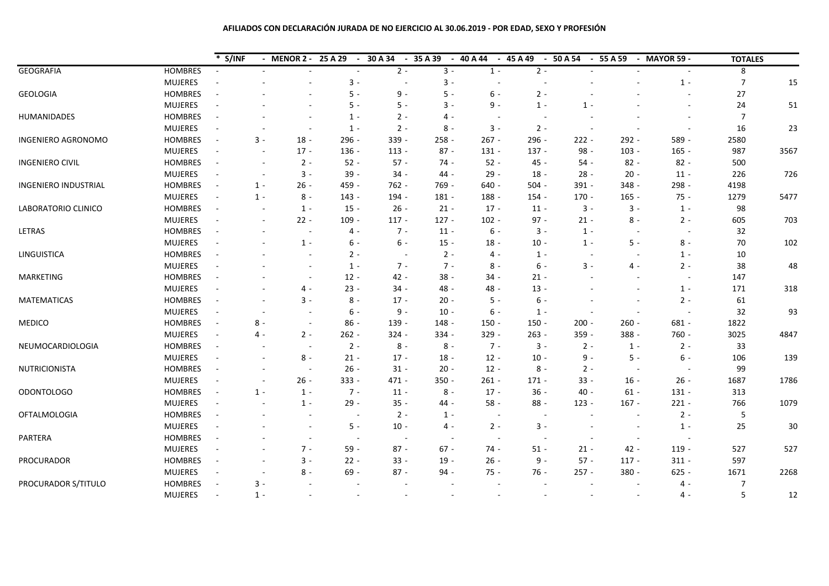# **AFILIADOS CON DECLARACIÓN JURADA DE NO EJERCICIO AL 30.06.2019 - POR EDAD, SEXO Y PROFESIÓN**

|                        |                | $*$ S/INF                |                          | - MENOR 2 - 25 A 29 | 30 A 34<br>$\sim$                  | 35 A 39<br>$\sim$<br>$\sim$ | 40 A 44 | $-45A49$<br>$\sim$       | 50 A 54<br>$\sim$        | 55 A 59                  | - MAYOR 59 -             | <b>TOTALES</b> |      |
|------------------------|----------------|--------------------------|--------------------------|---------------------|------------------------------------|-----------------------------|---------|--------------------------|--------------------------|--------------------------|--------------------------|----------------|------|
| <b>GEOGRAFIA</b>       | <b>HOMBRES</b> |                          |                          |                     | $2 -$                              | $3 -$                       | $1 -$   | $2 -$                    |                          |                          |                          | 8              |      |
|                        | <b>MUJERES</b> |                          |                          | $3 -$               | ÷.                                 | $3 -$                       |         |                          |                          |                          | $1 -$                    | $\overline{7}$ | 15   |
| <b>GEOLOGIA</b>        | <b>HOMBRES</b> | $\overline{\phantom{a}}$ |                          | $5 -$               | $9 -$                              | $5 -$                       | $6 -$   | $2 -$                    |                          |                          | $\overline{\phantom{a}}$ | 27             |      |
|                        | <b>MUJERES</b> | $\overline{\phantom{a}}$ |                          | $5 -$               | $5 -$                              | $3 -$                       | $9 -$   | $1 -$                    | $1 -$                    |                          | $\sim$                   | 24             | 51   |
| HUMANIDADES            | <b>HOMBRES</b> | $\overline{\phantom{a}}$ |                          | $1 -$               | $2 -$                              | 4 -                         |         | $\overline{\phantom{a}}$ |                          |                          | $\overline{\phantom{a}}$ | $\overline{7}$ |      |
|                        | <b>MUJERES</b> | $\overline{\phantom{a}}$ |                          | $1 -$               | $2 -$                              | $8 -$                       | $3 -$   | $2 -$                    | $\overline{\phantom{a}}$ |                          | $\overline{\phantom{a}}$ | 16             | 23   |
| INGENIERO AGRONOMO     | <b>HOMBRES</b> | $\blacksquare$           | $3 -$                    | 296 -<br>$18 -$     | 339 -                              | $258 -$                     | $267 -$ | 296 -                    | $222 -$                  | $292 -$                  | 589 -                    | 2580           |      |
|                        | <b>MUJERES</b> | $\overline{\phantom{a}}$ |                          | $17 -$<br>136 -     | $113 -$                            | $87 -$                      | $131 -$ | $137 -$                  | 98 -                     | $103 -$                  | $165 -$                  | 987            | 3567 |
| <b>INGENIERO CIVIL</b> | <b>HOMBRES</b> | $\overline{\phantom{a}}$ | $\sim$                   | $2 -$<br>$52 -$     | $57 -$                             | $74 -$                      | $52 -$  | 45 -                     | $54 -$                   | $82 -$                   | $82 -$                   | 500            |      |
|                        | <b>MUJERES</b> | $\overline{\phantom{a}}$ | $\overline{\phantom{a}}$ | $3 -$<br>$39 -$     | $34 -$                             | 44 -                        | $29 -$  | $18 -$                   | $28 -$                   | $20 -$                   | $11 -$                   | 226            | 726  |
| INGENIERO INDUSTRIAL   | <b>HOMBRES</b> | $\overline{\phantom{a}}$ | $1 -$                    | $26 -$<br>459 -     | 762 -                              | 769 -                       | $640 -$ | $504 -$                  | 391 -                    | $348 -$                  | 298 -                    | 4198           |      |
|                        | <b>MUJERES</b> |                          | $1 -$                    | $8 -$<br>$143 -$    | 194 -                              | 181 -                       | 188 -   | $154 -$                  | $170 -$                  | $165 -$                  | $75 -$                   | 1279           | 5477 |
| LABORATORIO CLINICO    | <b>HOMBRES</b> | $\overline{\phantom{a}}$ |                          | $1 -$<br>$15 -$     | $26 -$                             | $21 -$                      | $17 -$  | $11 -$                   | $3 -$                    | $3 -$                    | $1 -$                    | 98             |      |
|                        | <b>MUJERES</b> | $\overline{\phantom{a}}$ | $\overline{\phantom{a}}$ | $22 -$<br>$109 -$   | $117 -$                            | $127 -$                     | $102 -$ | $97 -$                   | $21 -$                   | $8 -$                    | $2 -$                    | 605            | 703  |
| LETRAS                 | <b>HOMBRES</b> | $\blacksquare$           | $\overline{\phantom{a}}$ | 4 -<br>$\sim$       | $7 -$                              | $11 -$                      | $6 -$   | $3 -$                    | $1 -$                    | $\overline{\phantom{a}}$ | $\sim$                   | 32             |      |
|                        | <b>MUJERES</b> | $\blacksquare$           | $\sim$                   | $1 -$<br>6 -        | $6 -$                              | $15 -$                      | $18 -$  | $10 -$                   | $1 -$                    | $5 -$                    | $8 -$                    | 70             | 102  |
| LINGUISTICA            | <b>HOMBRES</b> | $\overline{\phantom{a}}$ |                          | $2 -$               | $\overline{\phantom{a}}$           | $2 -$                       | $4 -$   | $1 -$                    | $\overline{\phantom{a}}$ |                          | $1 -$                    | 10             |      |
|                        | <b>MUJERES</b> | $\overline{\phantom{a}}$ |                          | $1 -$               | $7 -$                              | $7 -$                       | $8 -$   | $6 -$                    | $3 -$                    | 4 -                      | $2 -$                    | 38             | 48   |
| <b>MARKETING</b>       | <b>HOMBRES</b> | $\overline{\phantom{a}}$ |                          | $12 -$              | $42 -$                             | $38 -$                      | $34 -$  | $21 -$                   |                          |                          | $\overline{a}$           | 147            |      |
|                        | <b>MUJERES</b> | $\overline{\phantom{a}}$ |                          | $23 -$<br>4 -       | $34 -$                             | $48 -$                      | 48 -    | $13 -$                   |                          |                          | $1 -$                    | 171            | 318  |
| <b>MATEMATICAS</b>     | <b>HOMBRES</b> | $\overline{\phantom{a}}$ |                          | $3 -$<br>$8 -$      | $17 -$                             | $20 -$                      | $5 -$   | 6 -                      |                          |                          | $2 -$                    | 61             |      |
|                        | <b>MUJERES</b> | $\overline{\phantom{a}}$ |                          | $6 -$               | $9 -$                              | $10 -$                      | $6 -$   | $1 -$                    |                          |                          |                          | 32             | 93   |
| <b>MEDICO</b>          | <b>HOMBRES</b> | $\overline{\phantom{a}}$ | $8 -$                    | $86 -$              | 139 -                              | 148 -                       | $150 -$ | $150 -$                  | $200 -$                  | $260 -$                  | $681 -$                  | 1822           |      |
|                        | <b>MUJERES</b> | $\omega$                 | 4 -                      | $2 -$<br>$262 -$    | $324 -$                            | 334 -                       | $329 -$ | $263 -$                  | 359 -                    | 388 -                    | 760 -                    | 3025           | 4847 |
| NEUMOCARDIOLOGIA       | <b>HOMBRES</b> | $\overline{\phantom{a}}$ |                          | $2 -$               | $8 -$                              | $8 -$                       | $7 -$   | $3 -$                    | $2 -$                    | $1 -$                    | $2 -$                    | 33             |      |
|                        | <b>MUJERES</b> | $\overline{\phantom{a}}$ | $\sim$                   | $8 -$<br>$21 -$     | $17 -$                             | $18 -$                      | $12 -$  | $10 -$                   | $9 -$                    | $5 -$                    | $6 -$                    | 106            | 139  |
| <b>NUTRICIONISTA</b>   | <b>HOMBRES</b> | $\overline{\phantom{a}}$ |                          | $26 -$              | $31 -$                             | $20 -$                      | $12 -$  | $8 -$                    | $2 -$                    | $\sim$                   |                          | 99             |      |
|                        | <b>MUJERES</b> | $\overline{\phantom{a}}$ | $\sim$                   | $26 -$<br>333 -     | 471 -                              | $350 -$                     | $261 -$ | $171 -$                  | $33 -$                   | $16 -$                   | $26 -$                   | 1687           | 1786 |
| <b>ODONTOLOGO</b>      | <b>HOMBRES</b> | $\blacksquare$           | $1 -$                    | $1 -$<br>$7 -$      | $11 -$                             | $8 -$                       | $17 -$  | $36 -$                   | $40 -$                   | $61 -$                   | $131 -$                  | 313            |      |
|                        | <b>MUJERES</b> | $\overline{\phantom{a}}$ |                          | $1 -$<br>$29 -$     | $35 -$                             | 44 -                        | $58 -$  | $88 -$                   | $123 -$                  | $167 -$                  | $221 -$                  | 766            | 1079 |
| <b>OFTALMOLOGIA</b>    | <b>HOMBRES</b> | $\sim$                   |                          |                     | $2 -$<br>$\overline{\phantom{a}}$  | $1 -$                       |         | $\sim$                   |                          |                          | $2 -$                    | 5              |      |
|                        | <b>MUJERES</b> |                          |                          | 5 -                 | $10 -$                             | 4 -                         | $2 -$   | $3 -$                    |                          |                          | $1 -$                    | 25             | 30   |
| PARTERA                | <b>HOMBRES</b> | ÷,                       |                          |                     | $\sim$<br>$\overline{a}$           | $\overline{a}$              |         | $\overline{\phantom{a}}$ | $\overline{\phantom{a}}$ | $\sim$                   |                          |                |      |
|                        | <b>MUJERES</b> |                          |                          | $7 -$<br>$59 -$     | $87 -$                             | $67 -$                      | $74 -$  | $51 -$                   | $21 -$                   | 42 -                     | $119 -$                  | 527            | 527  |
| PROCURADOR             | <b>HOMBRES</b> | $\overline{\phantom{a}}$ | $\overline{\phantom{a}}$ | $3 -$<br>$22 -$     | $33 -$                             | $19 -$                      | $26 -$  | $9 -$                    | $57 -$                   | $117 -$                  | $311 -$                  | 597            |      |
|                        | <b>MUJERES</b> | $\overline{\phantom{a}}$ | $\sim$                   | $8 -$<br>$69 -$     | $87 -$                             | $94 -$                      | $75 -$  | $76 -$                   | $257 -$                  | $380 -$                  | $625 -$                  | 1671           | 2268 |
| PROCURADOR S/TITULO    | <b>HOMBRES</b> | $\overline{\phantom{a}}$ | $3 -$                    |                     | $\sim$<br>$\overline{\phantom{a}}$ | $\overline{\phantom{a}}$    |         | $\overline{\phantom{a}}$ |                          |                          | $4 -$                    | 7              |      |
|                        | <b>MUJERES</b> | $\overline{\phantom{a}}$ | $1 -$                    |                     |                                    |                             |         |                          |                          |                          | 4 -                      | 5              | 12   |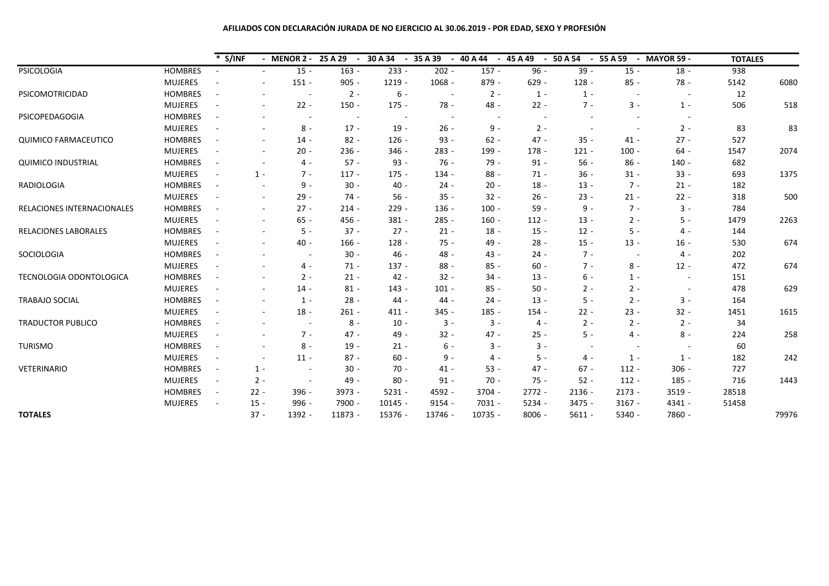# **AFILIADOS CON DECLARACIÓN JURADA DE NO EJERCICIO AL 30.06.2019 - POR EDAD, SEXO Y PROFESIÓN**

|                             |                | $*$ S/INF                |                          | - MENOR 2 - | 25 A 29<br>$\overline{a}$ | 30 A 34   | 35 A 39<br>$\blacksquare$ | 40 A 44   | 45A49<br>$\overline{\phantom{a}}$ | 50 A 54<br>$\overline{\phantom{a}}$ | 55 A 59                  | <b>MAYOR 59 -</b>        | <b>TOTALES</b> |       |
|-----------------------------|----------------|--------------------------|--------------------------|-------------|---------------------------|-----------|---------------------------|-----------|-----------------------------------|-------------------------------------|--------------------------|--------------------------|----------------|-------|
| <b>PSICOLOGIA</b>           | <b>HOMBRES</b> |                          |                          | $15 -$      | $163 -$                   | $233 -$   | $202 -$                   | $157 -$   | $96 -$                            | $39 -$                              | $15 -$                   | $18 -$                   | 938            |       |
|                             | <b>MUJERES</b> | $\overline{\phantom{a}}$ | $\overline{\phantom{a}}$ | $151 -$     | $905 -$                   | $1219 -$  | $1068 -$                  | $879 -$   | $629 -$                           | $128 -$                             | $85 -$                   | $78 -$                   | 5142           | 6080  |
| PSICOMOTRICIDAD             | <b>HOMBRES</b> | $\overline{\phantom{a}}$ |                          | $\sim$      | $2 -$                     | $6 -$     | $\sim$                    | $2 -$     | $1 -$                             | $1 -$                               | $\overline{\phantom{a}}$ | $\overline{\phantom{a}}$ | 12             |       |
|                             | <b>MUJERES</b> | $\overline{\phantom{a}}$ | $\sim$                   | $22 -$      | $150 -$                   | $175 -$   | 78 -                      | $48 -$    | $22 -$                            | $7 -$                               | $3 -$                    | $1 -$                    | 506            | 518   |
| PSICOPEDAGOGIA              | <b>HOMBRES</b> | $\overline{\phantom{a}}$ |                          |             |                           |           |                           |           |                                   |                                     |                          |                          |                |       |
|                             | <b>MUJERES</b> |                          | $\overline{\phantom{a}}$ | $8 -$       | $17 -$                    | $19 -$    | $26 -$                    | $9 -$     | $2 -$                             |                                     |                          | $2 -$                    | 83             | 83    |
| <b>QUIMICO FARMACEUTICO</b> | <b>HOMBRES</b> | $\overline{\phantom{a}}$ | $\overline{\phantom{a}}$ | $14 -$      | $82 -$                    | $126 -$   | $93 -$                    | $62 -$    | $47 -$                            | $35 -$                              | $41 -$                   | $27 -$                   | 527            |       |
|                             | <b>MUJERES</b> |                          | $\overline{a}$           | $20 -$      | $236 -$                   | $346 -$   | $283 -$                   | 199 -     | $178 -$                           | $121 -$                             | $100 -$                  | $64 -$                   | 1547           | 2074  |
| <b>QUIMICO INDUSTRIAL</b>   | <b>HOMBRES</b> | $\overline{\phantom{a}}$ | $\overline{\phantom{a}}$ | 4 -         | $57 -$                    | $93 -$    | $76 -$                    | $79 -$    | $91 -$                            | $56 -$                              | $86 -$                   | $140 -$                  | 682            |       |
|                             | <b>MUJERES</b> | $\blacksquare$           | $1 -$                    | $7 -$       | $117 -$                   | $175 -$   | 134 -                     | $88 -$    | $71 -$                            | $36 -$                              | $31 -$                   | $33 -$                   | 693            | 1375  |
| <b>RADIOLOGIA</b>           | <b>HOMBRES</b> | $\overline{\phantom{a}}$ |                          | $9 -$       | $30 -$                    | $40 -$    | $24 -$                    | $20 -$    | $18 -$                            | $13 -$                              | $7 -$                    | $21 -$                   | 182            |       |
|                             | <b>MUJERES</b> | $\overline{\phantom{a}}$ | $\overline{\phantom{a}}$ | $29 -$      | $74 -$                    | $56 -$    | $35 -$                    | $32 -$    | $26 -$                            | $23 -$                              | $21 -$                   | $22 -$                   | 318            | 500   |
| RELACIONES INTERNACIONALES  | <b>HOMBRES</b> | $\overline{\phantom{a}}$ | $\overline{\phantom{a}}$ | $27 -$      | $214 -$                   | $229 -$   | $136 -$                   | $100 -$   | $59 -$                            | $9 -$                               | $7 -$                    | $3 -$                    | 784            |       |
|                             | <b>MUJERES</b> | $\overline{a}$           | $\sim$                   | $65 -$      | 456 -                     | $381 -$   | $285 -$                   | $160 -$   | $112 -$                           | $13 -$                              | $2 -$                    | $5 -$                    | 1479           | 2263  |
| <b>RELACIONES LABORALES</b> | <b>HOMBRES</b> | $\overline{\phantom{a}}$ | $\sim$                   | $5 -$       | $37 -$                    | $27 -$    | $21 -$                    | $18 -$    | $15 -$                            | $12 -$                              | $5 -$                    | $4 -$                    | 144            |       |
|                             | <b>MUJERES</b> | $\overline{\phantom{a}}$ | $\overline{\phantom{a}}$ | $40 -$      | $166 -$                   | $128 -$   | $75 -$                    | $49 -$    | $28 -$                            | $15 -$                              | $13 -$                   | $16 -$                   | 530            | 674   |
| SOCIOLOGIA                  | <b>HOMBRES</b> | $\overline{\phantom{a}}$ | $\overline{a}$           |             | $30 -$                    | 46 -      | 48 -                      | $43 -$    | $24 -$                            | $7 -$                               |                          | 4 -                      | 202            |       |
|                             | <b>MUJERES</b> |                          |                          | $4 -$       | $71 -$                    | $137 -$   | $88 -$                    | $85 -$    | $60 -$                            | $7 -$                               | $8 -$                    | $12 -$                   | 472            | 674   |
| TECNOLOGIA ODONTOLOGICA     | <b>HOMBRES</b> | $\overline{\phantom{a}}$ | $\overline{\phantom{a}}$ | $2 -$       | $21 -$                    | $42 -$    | $32 -$                    | $34 -$    | $13 -$                            | 6 -                                 | $1 -$                    | $\overline{\phantom{a}}$ | 151            |       |
|                             | <b>MUJERES</b> | $\overline{\phantom{a}}$ | $\sim$                   | $14 -$      | $81 -$                    | $143 -$   | $101 -$                   | $85 -$    | $50 -$                            | $2 -$                               | $2 -$                    |                          | 478            | 629   |
| <b>TRABAJO SOCIAL</b>       | <b>HOMBRES</b> | ÷,                       | $\overline{\phantom{a}}$ | $1 -$       | $28 -$                    | 44 -      | $44 -$                    | $24 -$    | $13 -$                            | $5 -$                               | $2 -$                    | $3 -$                    | 164            |       |
|                             | <b>MUJERES</b> | ٠                        | $\sim$                   | $18 -$      | $261 -$                   | $411 -$   | $345 -$                   | $185 -$   | $154 -$                           | $22 -$                              | $23 -$                   | $32 -$                   | 1451           | 1615  |
| <b>TRADUCTOR PUBLICO</b>    | <b>HOMBRES</b> | $\overline{\phantom{a}}$ | $\overline{\phantom{a}}$ | $\sim$      | $8 -$                     | $10 -$    | $3 -$                     | $3 -$     | 4 -                               | $2 -$                               | $2 -$                    | $2 -$                    | 34             |       |
|                             | <b>MUJERES</b> | $\overline{\phantom{a}}$ |                          | $7 -$       | $47 -$                    | 49 -      | $32 -$                    | $47 -$    | $25 -$                            | $5 -$                               | 4 -                      | $8 -$                    | 224            | 258   |
| <b>TURISMO</b>              | <b>HOMBRES</b> | $\overline{\phantom{a}}$ | $\overline{\phantom{a}}$ | $8 -$       | $19 -$                    | $21 -$    | $6 -$                     | $3 -$     | $3 -$                             | <b>.</b>                            |                          |                          | 60             |       |
|                             | <b>MUJERES</b> | $\blacksquare$           | $\overline{\phantom{a}}$ | $11 -$      | $87 -$                    | $60 -$    | $9 -$                     | $4 -$     | $5 -$                             | 4 -                                 | $1 -$                    | $1 -$                    | 182            | 242   |
| VETERINARIO                 | <b>HOMBRES</b> | $\blacksquare$           | $1 -$                    |             | $30 -$                    | $70 -$    | $41 -$                    | $53 -$    | $47 -$                            | $67 -$                              | $112 -$                  | $306 -$                  | 727            |       |
|                             | <b>MUJERES</b> | $\overline{\phantom{a}}$ | $2 -$                    | $\sim$      | 49 -                      | $80 -$    | $91 -$                    | $70 -$    | $75 -$                            | $52 -$                              | $112 -$                  | 185 -                    | 716            | 1443  |
|                             | <b>HOMBRES</b> | $\sim$                   | $22 -$                   | $396 -$     | 3973 -                    | $5231 -$  | 4592 -                    | $3704 -$  | $2772 -$                          | $2136 -$                            | $2173 -$                 | $3519 -$                 | 28518          |       |
|                             | <b>MUJERES</b> | $\overline{\phantom{a}}$ | $15 -$                   | 996 -       | 7900 -                    | $10145 -$ | $9154 -$                  | 7031 -    | 5234 -                            | 3475 -                              | $3167 -$                 | 4341 -                   | 51458          |       |
| <b>TOTALES</b>              |                |                          | $37 -$                   | 1392 -      | 11873 -                   | 15376 -   | 13746 -                   | $10735 -$ | $8006 -$                          | $5611 -$                            | 5340 -                   | 7860 -                   |                | 79976 |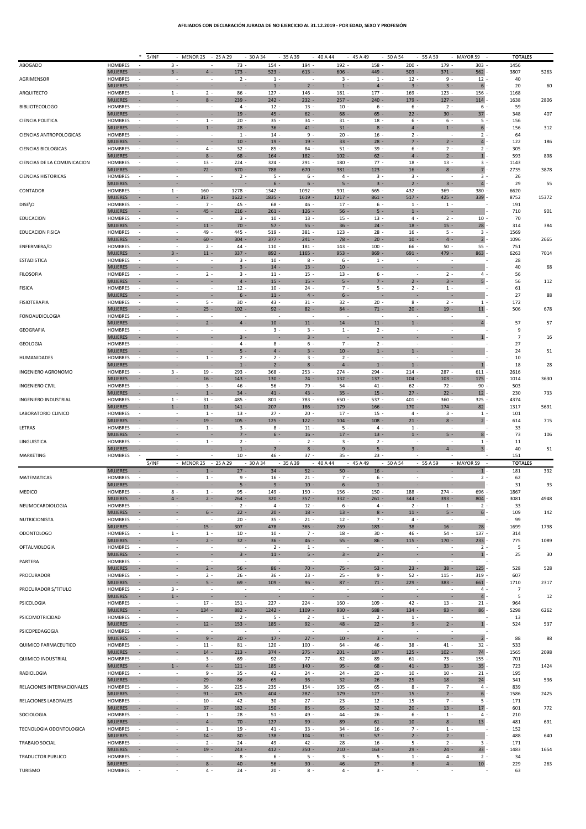## **AFILIADOS CON DECLARACIÓN JURADA DE NO EJERCICIO AL 31.12.2019 - POR EDAD, SEXO Y PROFESIÓN**

|                             |                                  | *<br>S/INF                         |                                                      | MENOR 25                                             | $-25A29$                 | 30 A 34                  | 35 A 39                       | 40 A 44                  | 45 A 49                            | 50 A 54                            | 55 A 59                           | MAYOR 59                   | <b>TOTALES</b>        |       |
|-----------------------------|----------------------------------|------------------------------------|------------------------------------------------------|------------------------------------------------------|--------------------------|--------------------------|-------------------------------|--------------------------|------------------------------------|------------------------------------|-----------------------------------|----------------------------|-----------------------|-------|
| ABOGADO                     | <b>HOMBRES</b><br><b>MUJERES</b> | $\sim$<br>×.                       | $3 -$<br>$3 -$                                       | $\sim$<br>$4 -$                                      | $73 -$<br>$173 -$        | 154<br>$523 -$           | 194 -<br>$613 -$              | 192<br>$606 -$           | 158<br>449 -                       | $200 -$<br>$503 -$                 | 179 -<br>$371 -$                  | 303<br>562                 | 1456<br>3807          | 5263  |
| AGRIMENSOR                  | <b>HOMBRES</b>                   | $\sim$                             | $\overline{\phantom{a}}$                             | $\overline{\phantom{a}}$                             | $2 -$                    | $1 -$                    | $\sim$                        | $3 -$                    | $1 -$                              | $12 -$                             | $9 -$                             | $12 -$                     | 40                    |       |
| ARQUITECTO                  | <b>MUJERES</b><br>HOMBRES        | $\sim$<br>$\overline{\phantom{a}}$ | ٠<br>$1 -$                                           | $\overline{\phantom{a}}$<br>$2 -$                    | 86                       | $1 -$<br>$127 -$         | $2 -$<br>$146 -$              | $1 -$<br>$181 -$         | $4 -$<br>177                       | $3 -$<br>$169 -$                   | $3 -$<br>$123 -$                  | $6\overline{6}$<br>$156 -$ | 20<br>1168            | 60    |
|                             | <b>MUJERES</b>                   | $\sim$                             | ×                                                    | $8 -$                                                | $239 -$                  | $242 -$                  | $232 -$                       | $257 -$                  | $240 -$                            | $179 -$                            | $127 -$                           | 114                        | 1638                  | 2806  |
| <b>BIBLIOTECOLOGO</b>       | HOMBRES<br><b>MUJERES</b>        | $\sim$<br>×                        | $\sim$<br>÷                                          | $\sim$<br>×                                          | $4 -$<br>$19 -$          | $12 -$<br>$45 -$         | $13 -$<br>$62 -$              | $10 -$<br>$68 -$         | $6 -$<br>$65 -$                    | $6 -$<br>$22 -$                    | $2 -$<br>$30 -$                   | $6 -$<br>$37 -$            | 59<br>348             | 407   |
| CIENCIA POLITICA            | HOMBRES                          | $\sim$                             | $\overline{\phantom{a}}$                             | $1 -$                                                | $20 -$                   | $35 -$                   | $34 -$                        | $31 -$                   | $18 -$                             | $6 -$                              | $6 -$                             | $5 -$                      | 156                   |       |
| CIENCIAS ANTROPOLOGICAS     | <b>MUJERES</b><br><b>HOMBRES</b> | $\sim$<br>$\overline{\phantom{a}}$ | ×.<br>$\sim$                                         | $1 -$<br>$\overline{\phantom{a}}$                    | $28 -$<br>$1 -$          | $36 -$<br>$14 -$         | $41 -$<br>$9 -$               | $31 -$<br>$20 -$         | $8 -$<br>$16 -$                    | $4 -$<br>$2 -$                     | $1 -$<br>$\sim$                   | $6 -$<br>$2 -$             | 156<br>64             | 312   |
|                             | <b>MUJERES</b>                   | $\sim$                             | $\overline{\phantom{a}}$                             | $\overline{\phantom{a}}$                             | $10 -$                   | $19 -$                   | $19 -$                        | $33 -$                   | $28 -$                             | $7 -$                              | $2 -$                             | 4                          | 122                   | 186   |
| <b>CIENCIAS BIOLOGICAS</b>  | HOMBRES<br><b>MUJERES</b>        | ÷.<br>$\sim$                       | $\sim$<br>٠                                          | $4 -$<br>$8 -$                                       | $32 -$<br>$68 -$         | $85 -$<br>$164 -$        | $84 -$<br>$182 -$             | $51 -$<br>$102 -$        | $39 -$<br>$62 -$                   | $6 -$<br>$4 -$                     | $2 -$<br>$2 -$                    | $2 -$<br>1                 | 305<br>593            | 898   |
| CIENCIAS DE LA COMUNICACION | <b>HOMBRES</b>                   | $\sim$                             | $\overline{\phantom{a}}$                             | $13 -$                                               | 224                      | 324                      | $291 -$                       | 180                      | $77 -$                             | 18                                 | $13 -$                            | $3 -$                      | 1143                  |       |
| <b>CIENCIAS HISTORICAS</b>  | <b>MUJERES</b><br><b>HOMBRES</b> | $\sim$                             | $\overline{\phantom{a}}$<br>$\overline{\phantom{a}}$ | $72 -$<br>$\overline{\phantom{a}}$                   | $670 -$<br>$2 -$         | 788 -<br>$5 -$           | $670 -$<br>$6 -$              | $381 -$<br>$4 -$         | $123 -$<br>$3 -$                   | $16 -$<br>$3 -$                    | $8 -$<br>$\sim$                   | $7 -$<br>$3 -$             | 2735<br>26            | 3878  |
|                             | <b>MUJERES</b>                   | $\sim$                             | ×                                                    | ×.                                                   |                          | $6 -$                    | $6 -$                         | $5 -$                    | $3 -$                              | $2 -$                              | $3 -$                             | $4 -$                      | 29                    | 55    |
| CONTADOR                    | HOMBRES<br><b>MUJERES</b>        | $\overline{\phantom{a}}$<br>$\sim$ | $1 -$<br>×                                           | $160 -$<br>$317 -$                                   | 1278 -<br>$1622 -$       | 1342 -<br>1835 -         | $1092 -$<br>$1619 -$          | $901 -$<br>$1217 -$      | 665 -<br>$861 -$                   | 432 -<br>$517 -$                   | $369 -$<br>$425 -$                | 380<br>339                 | 6620<br>8752          | 15372 |
| DISE\O                      | <b>HOMBRES</b>                   | ÷.                                 | $\overline{\phantom{a}}$                             | $7 -$                                                | 45                       | $68 -$                   | 46 -                          | $17 -$                   | $6 -$                              | $1 -$                              | $1 -$                             |                            | 191                   |       |
| <b>EDUCACION</b>            | <b>MUJERES</b><br><b>HOMBRES</b> | ×<br>$\overline{\phantom{a}}$      | ٠<br>$\sim$                                          | $45 -$<br>$\overline{\phantom{a}}$                   | $216 -$<br>$3 -$         | $261 -$<br>$10 -$        | $126 -$<br>$13 -$             | $56 -$<br>$15 -$         | $5 -$<br>$13 -$                    | $1 -$<br>$4 -$                     | $\overline{\phantom{a}}$<br>$2 -$ | $10 -$                     | 710<br>70             | 901   |
|                             | <b>MUJERES</b>                   | $\sim$                             | ×.                                                   | $11 -$                                               | $70 -$                   | $57 -$                   | $55 -$                        | $36 -$                   | $24 -$                             | $18 -$                             | $15 -$                            | $28 -$                     | 314                   | 384   |
| <b>EDUCACION FISICA</b>     | <b>HOMBRES</b><br><b>MUJERES</b> | $\sim$<br>$\sim$                   | $\overline{\phantom{a}}$<br>$\overline{\phantom{a}}$ | 49 -<br>$60 -$                                       | 445 -<br>$304 -$         | $519 -$<br>$377 -$       | $381 -$<br>$241 -$            | $123 -$<br>$78 -$        | $28 -$<br>$20 -$                   | $16 -$<br>$10 -$                   | $5 -$<br>$4 -$                    | $3 -$<br>$2 -$             | 1569<br>1096          | 2665  |
| ENFERMERA/O                 | HOMBRES                          | $\sim$                             |                                                      | $2 -$                                                | 44                       | 110                      | $181 -$                       | 143                      | 100                                | 66                                 | $50 -$                            | $55 -$                     | 751                   |       |
| <b>ESTADISTICA</b>          | <b>MUJERES</b><br>HOMBRES        | $\sim$<br>$\sim$                   | $3 -$<br>$\overline{\phantom{a}}$                    | $11 -$<br>$\sim$                                     | $337 -$<br>$3 -$         | $892 -$<br>$10 -$        | $1165 -$<br>$8 -$             | $953 -$<br>$6 -$         | $869 -$<br>$1 -$                   | $691 -$<br>$\sim$                  | 479 -<br>$\sim$                   | $863 -$                    | 6263<br>28            | 7014  |
|                             | <b>MUJERES</b>                   | ×                                  |                                                      | ×                                                    | $3 -$                    | $14 -$                   | $13 -$                        | $10 -$                   |                                    | ×                                  |                                   |                            | 40                    | 68    |
| <b>FILOSOFIA</b>            | HOMBRES<br><b>MUJERES</b>        | $\sim$<br>÷.                       | $\sim$<br>×.                                         | $2 -$<br>×.                                          | $3 -$<br>$4 -$           | $11 -$<br>$15 -$         | $15 -$<br>$15 -$              | $13 -$<br>$5 -$          | $6 -$<br>$7 -$                     | $\sim$<br>$2 -$                    | $2 -$<br>$3 -$                    | $4 -$<br>5                 | 56<br>56              | 112   |
| <b>FISICA</b>               | <b>HOMBRES</b>                   | $\overline{\phantom{a}}$           | $\overline{\phantom{a}}$                             | $\overline{\phantom{a}}$                             | 12                       | $10 -$                   | $24 -$                        | $7 -$                    | $5 -$                              | $2 -$                              | $1 -$                             |                            | 61                    |       |
| <b>FISIOTERAPIA</b>         | <b>MUJERES</b><br>HOMBRES        | $\sim$<br>$\sim$                   | $\overline{\phantom{a}}$<br>$\overline{\phantom{a}}$ | $\overline{\phantom{a}}$<br>$5 -$                    | $6 -$<br>$30 -$          | $11 -$<br>43 -           | $4$ -<br>$31 -$               | $6 -$<br>$32 -$          | ÷<br>$20 -$                        | ×<br>$8 -$                         | ×<br>$2 -$                        | $1 -$                      | 27<br>172             | 88    |
|                             | <b>MUJERES</b>                   | ×                                  | $\overline{\phantom{a}}$                             | $25 -$                                               | $102 -$                  | $92 -$                   | $82 -$                        | $84 -$                   | $71 -$                             | $20 -$                             | $19 -$                            | 11                         | 506                   | 678   |
| <b>FONOAUDIOLOGIA</b>       | HOMBRES<br><b>MUJERES</b>        | $\overline{\phantom{a}}$<br>×      | $\sim$<br>×                                          | $\sim$<br>$2 -$                                      | $4 -$                    | $10 -$                   | $\sim$<br>$11 -$              | $\sim$<br>$14 -$         | $\sim$<br>$11 -$                   | ÷.<br>$1 -$                        | $\sim$<br>×.                      | $4 -$                      | 57                    | 57    |
| <b>GEOGRAFIA</b>            | <b>HOMBRES</b>                   | $\sim$                             | $\overline{\phantom{a}}$                             | $\overline{\phantom{a}}$                             | $\sim$                   | $3 -$                    | $3 -$                         | $1 -$                    | $2 -$                              | $\overline{\phantom{a}}$           | $\overline{\phantom{a}}$          |                            | 9                     |       |
| <b>GEOLOGIA</b>             | <b>MUJERES</b><br>HOMBRES        | $\sim$<br>$\overline{\phantom{a}}$ | ×<br>$\overline{\phantom{a}}$                        | ×.<br>$\overline{\phantom{a}}$                       | $3 -$<br>4 -             | ×<br>$8 -$               | $3 -$<br>$6 -$                | ×<br>$7 -$               | ×,<br>$2 -$                        | ×.<br>÷                            | ×.                                | $\mathbf{1}$               | $\overline{7}$<br>27  | 16    |
|                             | <b>MUJERES</b>                   | $\sim$                             | $\overline{\phantom{a}}$                             | $\overline{\phantom{a}}$                             | $5 -$                    | $4 -$                    | $3 -$                         | $10 -$                   | $1 -$                              | $1 -$                              | ×                                 |                            | 24                    | 51    |
| HUMANIDADES                 | <b>HOMBRES</b><br><b>MUJERES</b> | $\sim$<br>×                        |                                                      | $1 -$                                                | $2 -$<br>$1 -$           | $2 -$<br>$2 -$           | $3 -$<br>$8 -$                | $2 -$<br>$4 -$           | $1 -$                              | $1 -$                              |                                   | 1                          | 10<br>18              | 28    |
| INGENIERO AGRONOMO          | HOMBRES                          | $\sim$                             | $3 -$                                                | $19 -$                                               | 293 -                    | $368 -$                  | $253 -$                       | $274 -$                  | 294 -                              | $214 -$                            | $287 -$                           | $611 -$                    | 2616                  |       |
| <b>INGENIERO CIVIL</b>      | <b>MUJERES</b><br><b>HOMBRES</b> | ÷.<br>$\sim$                       | $\overline{\phantom{a}}$                             | $16 -$<br>$3 -$                                      | $143 -$<br>46 -          | $130 -$<br>$56 -$        | $74 -$<br>$79 -$              | $132 -$<br>$54 -$        | $137 -$<br>$41 -$                  | $104 -$<br>$62 -$                  | $103 -$<br>$72 -$                 | 175<br>$90 -$              | 1014<br>503           | 3630  |
|                             | <b>MUJERES</b>                   | $\sim$                             |                                                      | $1 -$                                                | $34 -$                   | $41 -$                   | 43 -                          | $35 -$                   | $15 -$                             | $27 -$                             | $22 -$                            | 12                         | 230                   | 733   |
| <b>INGENIERO INDUSTRIAL</b> | HOMBRES<br><b>MUJERES</b>        | $\sim$<br>$\sim$                   | $1 -$<br>$1 -$                                       | $31 -$<br>$11 -$                                     | 485<br>$141 -$           | 801<br>$207 -$           | 783 -<br>$186 -$              | 650<br>$179 -$           | 537<br>$166 -$                     | 401<br>$170 -$                     | 360<br>$174 -$                    | $325 -$<br>$82 -$          | 4374<br>1317          | 5691  |
|                             | <b>HOMBRES</b>                   | $\overline{\phantom{a}}$           | $\overline{\phantom{a}}$                             | $1 -$                                                | $13 -$                   | $27 -$                   | $20 -$                        | $17 -$                   | $15 -$                             | $4 -$                              | $3 -$                             | $1 -$                      | 101                   |       |
| LABORATORIO CLINICO         |                                  |                                    |                                                      |                                                      |                          |                          |                               |                          |                                    |                                    |                                   |                            |                       |       |
|                             | <b>MUJERES</b>                   | ÷.<br>$\sim$                       | ×.<br>$\overline{\phantom{a}}$                       | $19 -$<br>$1 -$                                      | $105 -$<br>$3 -$         | $125 -$                  | $122 -$<br>$11 -$             | $104 -$<br>$5 -$         | $108 -$<br>$4 -$                   | $21 -$<br>$1 -$                    | $8 -$<br>$\sim$                   | $2$ -                      | 614                   | 715   |
| LETRAS                      | HOMBRES<br><b>MUJERES</b>        | $\sim$                             | ×                                                    | ×                                                    | $7 -$                    | $8 -$<br>$6 -$           | $16 -$                        | $17 -$                   | $13 -$                             | $1 -$                              | $5 -$                             | $8 \cdot$                  | 33<br>73              | 106   |
| LINGUISTICA                 | <b>HOMBRES</b><br><b>MUJERES</b> | $\overline{\phantom{a}}$<br>$\sim$ | $\overline{\phantom{a}}$                             | $1 -$<br>÷                                           | $2 -$<br>$1 -$           | $7 -$                    | $2 -$<br>$8 -$                | $3 -$<br>$9 -$           | $2 -$<br>$5 -$                     | $3 -$                              | $4 -$                             | $1 -$<br>$3 -$             | 11<br>40              | 51    |
| MARKETING                   | HOMBRES                          |                                    |                                                      |                                                      | $10 -$                   | 46 -                     | $37 -$                        | $35 -$                   | $23 -$                             |                                    |                                   |                            | 151                   |       |
|                             | <b>MUJERES</b>                   | S/INF                              |                                                      | - $MENOR$ 25<br>$1 -$                                | $-25A29$<br>$27 -$       | $-30A34$<br>$34 -$       | 35 A 39<br>$52 -$             | 40 A 44<br>$50 -$        | 45 A 49<br>$16 -$                  | $-50A54$                           | $-55A59$                          | - MAYOR 59<br>1            | <b>TOTALES</b><br>181 | 332   |
| MATEMATICAS                 | <b>HOMBRES</b>                   | $\overline{\phantom{a}}$           | $\overline{\phantom{a}}$                             | $1 -$                                                | $9 -$                    | $16 -$                   | $21 -$                        | $7 -$                    | $6 -$                              | ÷,                                 |                                   | $2 -$                      | 62                    |       |
| MEDICO                      | <b>MUJERES</b><br>HOMBRES        | $\sim$                             | $8 -$                                                | ×.<br>$1 -$                                          | $5 -$<br>95              | $9 -$<br>149 -           | $10 -$<br>$150 -$             | $6 -$<br>$156 -$         | $1 -$<br>150                       | ×,<br>$188 -$                      | $274 -$                           | 696                        | 31<br>1867            | 93    |
|                             | <b>MUJERES</b>                   |                                    | $4 -$                                                | $2 -$                                                | $264 -$                  | $320 -$                  | $357 -$                       | $332 -$                  | $261 -$                            | $344 -$                            | 393 -                             | 804                        | 3081                  | 4948  |
| NEUMOCARDIOLOGIA            | <b>HOMBRES</b><br><b>MUJERES</b> | $\sim$<br>×                        | $\overline{\phantom{a}}$                             | $6 -$                                                | $2 -$<br>$22 -$          | $4 -$<br>$20 -$          | $12 -$<br>$18 -$              | $6 -$<br>$13 -$          | $4 -$<br>$8 -$                     | $2 -$<br>$11 -$                    | $1 -$<br>$5 -$                    | $2 -$<br>$6 -$             | 33<br>109             | 142   |
| NUTRICIONISTA               | HOMBRES                          | $\sim$                             | $\overline{\phantom{a}}$                             | $\overline{\phantom{a}}$                             | $20 -$                   | $35 -$                   | $21 -$                        | $12 -$                   | $7 -$                              | $4 -$                              | $\sim$                            |                            | 99                    |       |
| <b>ODONTOLOGO</b>           | <b>MUJERES</b><br><b>HOMBRES</b> | $\sim$<br>$\sim$                   | $\mathcal{L}_{\mathcal{A}}$<br>$1 -$                 | $15 -$<br>$1 -$                                      | $307 -$<br>$10 -$        | 478 -<br>$10 -$          | $365 -$<br>$7 -$              | $269 -$<br>$18 -$        | $183 -$<br>$30 -$                  | $38 -$<br>46 -                     | $16 -$<br>$54 -$                  | $28 -$<br>$137 -$          | 1699<br>314           | 1798  |
|                             | <b>MUJERES</b>                   | $\sim$                             | $\sim$                                               | $2 -$                                                | $32 -$                   | $36 -$                   | $46 -$                        | $55 -$                   | $86 -$                             | $115 -$                            | $170 -$                           | $233 -$                    | 775                   | 1089  |
| OFTALMOLOGIA                | HOMBRES<br><b>MUJERES</b>        | $\sim$<br>$\sim$                   | $\sim$<br>$\sim$                                     | $\sim$<br>×                                          | $3 -$                    | $2 -$<br>$11 -$          | $1 -$<br>$5 -$                | $3 -$                    | $\overline{\phantom{a}}$<br>$2 -$  | $\sim$                             | ×                                 | $2 -$<br>$1 -$             | 5<br>25               | 30    |
| PARTERA                     | HOMBRES                          | $\overline{\phantom{a}}$           | $\overline{\phantom{a}}$                             | $\overline{\phantom{a}}$                             | $\overline{\phantom{a}}$ | $\overline{\phantom{a}}$ | $\overline{\phantom{a}}$      | $\overline{\phantom{a}}$ | $\overline{\phantom{a}}$           | $\overline{\phantom{a}}$           | $\overline{\phantom{a}}$          |                            |                       |       |
| PROCURADOR                  | <b>MUJERES</b><br>HOMBRES        | $\sim$<br>$\sim$                   | $\overline{\phantom{a}}$<br>$\overline{\phantom{a}}$ | $2 -$<br>$2 -$                                       | $56 -$<br>$26 -$         | $86 -$<br>$36 -$         | $70 -$<br>$23 -$              | $75 -$<br>$25 -$         | $53 -$<br>$9 -$                    | $23 -$<br>$52 -$                   | $38 -$<br>$115 -$                 | $125 -$<br>$319 -$         | 528<br>607            | 528   |
|                             | <b>MUJERES</b>                   | $\sim$                             | $\sim$                                               | $5 -$                                                | $69 -$                   | $109 -$                  | $96 -$                        | $87 -$                   | $71 -$                             | $229 -$                            | $383 -$                           | 661                        | 1710                  | 2317  |
| PROCURADOR S/TITULO         | HOMBRES<br><b>MUJERES</b>        | $\sim$<br>$\sim$                   | $3 -$<br>$1 -$                                       | $\overline{\phantom{a}}$<br>$\overline{\phantom{a}}$ | ×                        | ٠                        | $\overline{\phantom{a}}$<br>÷ | ÷                        | $\overline{\phantom{a}}$<br>÷      | $\overline{\phantom{a}}$<br>$\sim$ | ×                                 | $4 -$<br>$4 -$             | 7<br>5                | 12    |
| PSICOLOGIA                  | HOMBRES                          | $\sim$                             | $\sim$                                               | $17 -$                                               | $151 -$                  | $227 -$                  | $224 -$                       | $160 -$                  | $109 -$                            | $42 -$                             | $13 -$                            | $21 -$                     | 964                   |       |
| PSICOMOTRICIDAD             | <b>MUJERES</b><br>HOMBRES        | ×<br>$\overline{\phantom{a}}$      | ٠<br>$\overline{\phantom{a}}$                        | $134 -$<br>$\overline{\phantom{a}}$                  | $882 -$<br>$2 -$         | $1242 -$<br>$5 -$        | $1109 -$<br>$2 -$             | $930 -$<br>$1 -$         | $688 -$<br>$2 -$                   | $134 -$<br>$1 -$                   | $93 -$<br>$\sim$                  | 86                         | 5298<br>13            | 6262  |
|                             | <b>MUJERES</b>                   | $\sim$<br>$\sim$                   | $\sim$<br>$\overline{\phantom{a}}$                   | $12 -$<br>$\overline{\phantom{a}}$                   | $153 -$<br>$\sim$        | $185 -$                  | $92 -$<br>$\sim$              | $48 -$                   | $22 -$<br>$\overline{\phantom{a}}$ | $9 -$<br>$\sim$                    | $2 -$<br>$\sim$                   | $1$ .                      | 524                   | 537   |
| PSICOPEDAGOGIA              | <b>HOMBRES</b><br><b>MUJERES</b> | $\sim$                             | ×                                                    | $9 -$                                                | $20 -$                   | $17 -$                   | $27 -$                        | $10 -$                   | $3 -$                              | ×                                  | ×                                 | $2 -$                      | 88                    | 88    |
| QUIMICO FARMACEUTICO        | HOMBRES                          | $\sim$                             | $\sim$                                               | $11 -$                                               | $81 -$                   | $120 -$                  | $100 -$                       | $64$ -                   | 46 -                               | $38 -$                             | $41 -$                            | $32 -$                     | 533                   |       |
| <b>QUIMICO INDUSTRIAL</b>   | <b>MUJERES</b><br><b>HOMBRES</b> | $\sim$<br>$\sim$                   | ٠<br>$\sim$                                          | $14 -$<br>$3 -$                                      | $213 -$<br>69            | $374 -$<br>$92 -$        | $275 -$<br>$77 -$             | $201 -$<br>$82 -$        | $187 -$<br>$89 -$                  | $125 -$<br>$61 -$                  | $102 -$<br>$73 -$                 | $74 -$<br>$155 -$          | 1565<br>701           | 2098  |
|                             | <b>MUJERES</b>                   | $\sim$                             | $1 -$                                                | $4 -$                                                | $121 -$                  | $185 -$                  | $140 -$                       | $95 -$                   | $68 -$                             | $41 -$                             | $33 -$                            | $35 -$                     | 723                   | 1424  |
| RADIOLOGIA                  | HOMBRES<br><b>MUJERES</b>        | $\sim$<br>$\sim$                   | $\overline{\phantom{a}}$<br>$\epsilon$               | $9 -$<br>$29 -$                                      | $35 -$<br>$86 -$         | 42 -<br>$65 -$           | $24 -$<br>$36 -$              | $24 -$<br>$32 -$         | $20 -$<br>$26 -$                   | $10 -$<br>$25 -$                   | $10 -$<br>$18 -$                  | $21 -$<br>$24 -$           | 195<br>341            | 536   |
| RELACIONES INTERNACIONALES  | HOMBRES                          | $\overline{\phantom{a}}$<br>$\sim$ | $\overline{\phantom{a}}$<br>$\sim$                   | $36 -$<br>$91 -$                                     | $225 -$<br>475 -         | $235 -$                  | $154 -$                       | $105 -$<br>$179 -$       | $65 -$                             | $8 -$<br>$15 -$                    | $7 -$                             | $4 -$                      | 839<br>1586           | 2425  |
| RELACIONES LABORALES        | <b>MUJERES</b><br>HOMBRES        | $\sim$                             | $\overline{\phantom{a}}$                             | $10 -$                                               | 42                       | $404 -$<br>$30 -$        | $287 -$<br>$27 -$             | $23 -$                   | $127 -$<br>$12 -$                  | $15 -$                             | $2 -$<br>$7 -$                    | $6 -$<br>$5 -$             | 171                   |       |
|                             | <b>MUJERES</b>                   | $\sim$<br>$\sim$                   | $\sim$<br>$\overline{\phantom{a}}$                   | $37 -$                                               | $182 -$                  | $150 -$                  | $85 -$                        | $65 -$                   | $32 -$                             | $20 -$                             | $13 -$                            | $17 -$                     | 601                   | 772   |
| SOCIOLOGIA                  | HOMBRES<br><b>MUJERES</b>        | $\sim$                             | $\sim$                                               | $1 -$<br>$4$ -                                       | $28 -$<br>$70 -$         | $51 -$<br>$127 -$        | 49 -<br>$99 -$                | 44 -<br>$89 -$           | $26 -$<br>$61 -$                   | $6 -$<br>$10 -$                    | $1 -$<br>$8 -$                    | $4 -$<br>$13 -$            | 210<br>481            | 691   |
| TECNOLOGIA ODONTOLOGICA     | HOMBRES                          | $\sim$<br>$\sim$                   | $\sim$<br>$\sim$                                     | $1 -$<br>$14 -$                                      | $19 -$                   | $41 -$                   | $33 -$                        | $34 -$                   | $16 -$                             | $7 -$                              | $1 -$                             |                            | 152<br>488            |       |
| TRABAJO SOCIAL              | <b>MUJERES</b><br>HOMBRES        | $\overline{\phantom{a}}$           | $\sim$                                               | $2 -$                                                | $80 -$<br>$24 -$         | $138 -$<br>49            | $104 -$<br>$42 -$             | $91 -$<br>$28 -$         | $57 -$<br>$16 -$                   | $2 -$<br>$5 -$                     | $2 -$<br>$2 -$                    | $3 -$                      | 171                   | 640   |
| <b>TRADUCTOR PUBLICO</b>    | <b>MUJERES</b><br>HOMBRES        | ÷<br>$\sim$                        | ٠<br>$\sim$                                          | $19 -$<br>$\sim$                                     | $243 -$<br>$8 -$         | $412 -$<br>$6 -$         | $350 -$<br>$5 -$              | $210 -$<br>$3 -$         | $163 -$<br>$5 -$                   | $29 -$<br>$1 -$                    | $24 -$<br>$4 -$                   | $33 -$<br>$2 -$            | 1483<br>34            | 1654  |
| <b>TURISMO</b>              | <b>MUJERES</b><br>HOMBRES        | ÷<br>$\overline{\phantom{a}}$      | ÷<br>$\sim$                                          | $8 -$<br>$4 -$                                       | $40 -$<br>$24 -$         | $56 -$<br>$20 -$         | $30 -$<br>$8 -$               | $46 -$<br>$4 -$          | $27 -$<br>$3 -$                    | $8 -$<br>$\overline{\phantom{a}}$  | $4 -$<br>$\overline{\phantom{a}}$ | $10 -$                     | 229<br>63             | 263   |